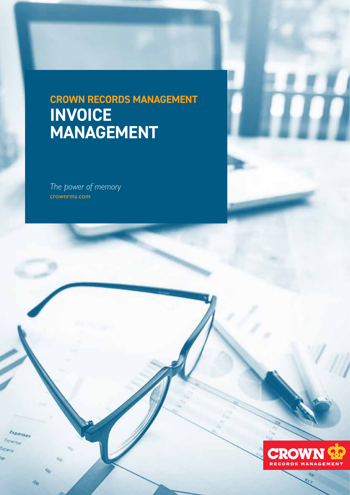# **CROWN RECORDS MANAGEMENT INVOICE MANAGEMENT**

*The power of memory* crownrms.com

**Expenser** Espe 110

e

Ý.

PO.

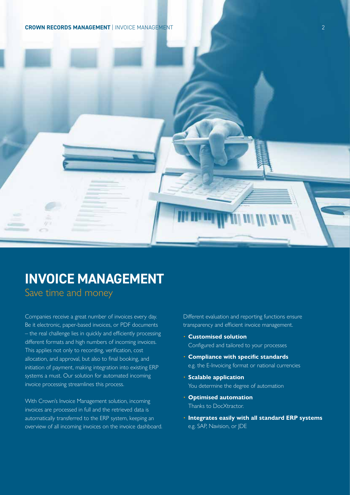**CROWN RECORDS MANAGEMENT** | INVOICE MANAGEMENT 2



## **INVOICE MANAGEMENT**

Save time and money

Companies receive a great number of invoices every day. Be it electronic, paper-based invoices, or PDF documents – the real challenge lies in quickly and efficiently processing different formats and high numbers of incoming invoices. This applies not only to recording, verification, cost allocation, and approval, but also to final booking, and initiation of payment, making integration into existing ERP systems a must. Our solution for automated incoming invoice processing streamlines this process.

With Crown's Invoice Management solution, incoming invoices are processed in full and the retrieved data is automatically transferred to the ERP system, keeping an overview of all incoming invoices on the invoice dashboard. Different evaluation and reporting functions ensure transparency and efficient invoice management.

- **Customised solution**  Configured and tailored to your processes
- **Compliance with specific standards**  e.g. the E-Invoicing format or national currencies
- **Scalable application**  You determine the degree of automation
- **Optimised automation**  Thanks to DocXtractor.
- **Integrates easily with all standard ERP systems**  e.g. SAP, Navision, or JDE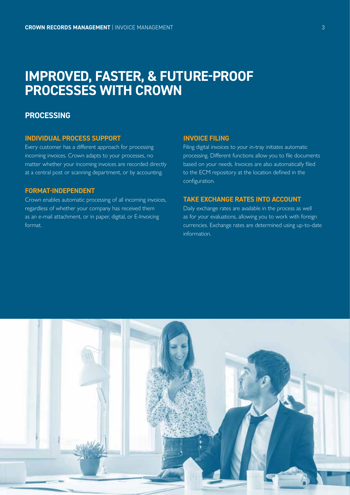## **IMPROVED, FASTER, & FUTURE-PROOF PROCESSES WITH CROWN**

## **PROCESSING**

#### **INDIVIDUAL PROCESS SUPPORT**

Every customer has a different approach for processing incoming invoices. Crown adapts to your processes, no matter whether your incoming invoices are recorded directly at a central post or scanning department, or by accounting.

### **FORMAT-INDEPENDENT**

Crown enables automatic processing of all incoming invoices, regardless of whether your company has received them as an e-mail attachment, or in paper, digital, or E-Invoicing format.

#### **INVOICE FILING**

Filing digital invoices to your in-tray initiates automatic processing. Different functions allow you to file documents based on your needs. Invoices are also automatically filed to the ECM repository at the location defined in the configuration.

#### **TAKE EXCHANGE RATES INTO ACCOUNT**

Daily exchange rates are available in the process as well as for your evaluations, allowing you to work with foreign currencies. Exchange rates are determined using up-to-date information.

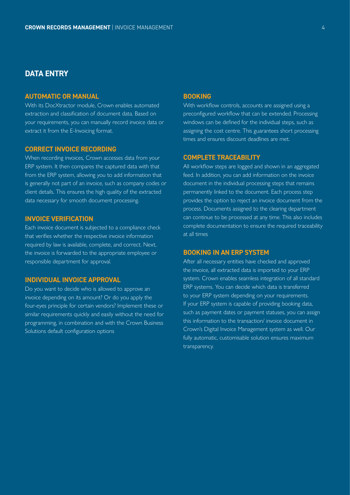## **DATA ENTRY**

#### **AUTOMATIC OR MANUAL**

With its DocXtractor module, Crown enables automated extraction and classification of document data. Based on your requirements, you can manually record invoice data or extract it from the E-Invoicing format.

#### **CORRECT INVOICE RECORDING**

When recording invoices, Crown accesses data from your ERP system. It then compares the captured data with that from the ERP system, allowing you to add information that is generally not part of an invoice, such as company codes or client details. This ensures the high quality of the extracted data necessary for smooth document processing.

#### **INVOICE VERIFICATION**

Each invoice document is subjected to a compliance check that verifies whether the respective invoice information required by law is available, complete, and correct. Next, the invoice is forwarded to the appropriate employee or responsible department for approval.

#### **INDIVIDUAL INVOICE APPROVAL**

Do you want to decide who is allowed to approve an invoice depending on its amount? Or do you apply the four-eyes principle for certain vendors? Implement these or similar requirements quickly and easily without the need for programming, in combination and with the Crown Business Solutions default configuration options

#### **BOOKING**

With workflow controls, accounts are assigned using a preconfigured workflow that can be extended. Processing windows can be defined for the individual steps, such as assigning the cost centre. This guarantees short processing times and ensures discount deadlines are met.

#### **COMPLETE TRACEABILITY**

All workflow steps are logged and shown in an aggregated feed. In addition, you can add information on the invoice document in the individual processing steps that remains permanently linked to the document. Each process step provides the option to reject an invoice document from the process. Documents assigned to the clearing department can continue to be processed at any time. This also includes complete documentation to ensure the required traceability at all times

#### **BOOKING IN AN ERP SYSTEM**

After all necessary entities have checked and approved the invoice, all extracted data is imported to your ERP system. Crown enables seamless integration of all standard ERP systems. You can decide which data is transferred to your ERP system depending on your requirements. If your ERP system is capable of providing booking data, such as payment dates or payment statuses, you can assign this information to the transaction/ invoice document in Crown's Digital Invoice Management system as well. Our fully automatic, customisable solution ensures maximum transparency.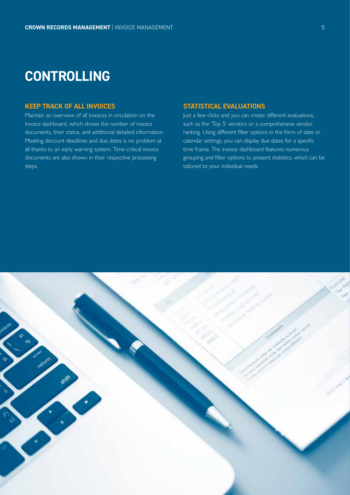## **CONTROLLING**

## **KEEP TRACK OF ALL INVOICES**

Maintain an overview of all invoices in circulation on the invoice dashboard, which shows the number of invoice documents, their status, and additional detailed information. Meeting discount deadlines and due dates is no problem at all thanks to an early warning system. Time-critical invoice documents are also shown in their respective processing steps.

### **STATISTICAL EVALUATIONS**

Just a few clicks and you can create different evaluations, such as the 'Top 5' vendors or a comprehensive vendor ranking. Using different filter options in the form of date or calendar settings, you can display due dates for a specific time frame. The invoice dashboard features numerous grouping and filter options to present statistics, which can be tailored to your individual needs.